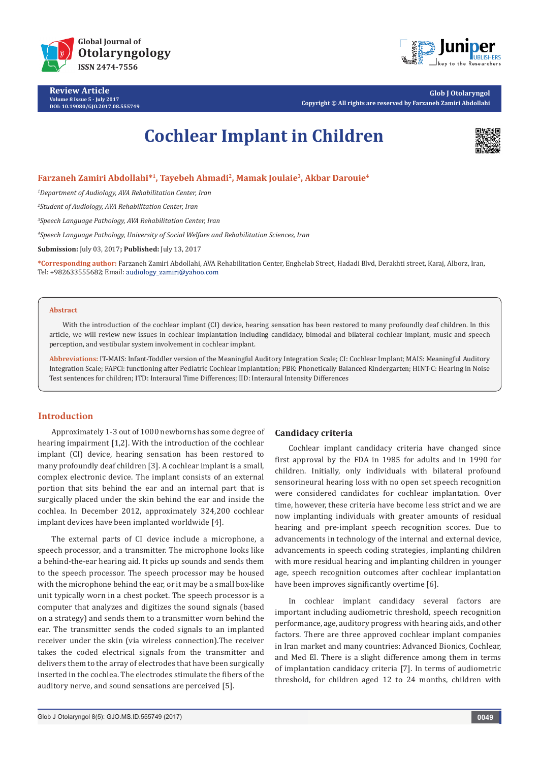

**Review Article Volume 8 Issue 5 - July 2017 DOI: [10.19080/GJO.2017.08.555749](http://dx.doi.org/10.19080/GJO.2017.08.555749)**



**Glob J Otolaryngol Copyright © All rights are reserved by Farzaneh Zamiri Abdollahi**

# **Cochlear Implant in Children**



## **Farzaneh Zamiri Abdollahi\*1, Tayebeh Ahmadi2, Mamak Joulaie3, Akbar Darouie4**

*1 Department of Audiology, AVA Rehabilitation Center, Iran*

*2 Student of Audiology, AVA Rehabilitation Center, Iran*

*3 Speech Language Pathology, AVA Rehabilitation Center, Iran*

*4 Speech Language Pathology, University of Social Welfare and Rehabilitation Sciences, Iran*

**Submission:** July 03, 2017**; Published:** July 13, 2017

**\*Corresponding author:** Farzaneh Zamiri Abdollahi, AVA Rehabilitation Center, Enghelab Street, Hadadi Blvd, Derakhti street, Karaj, Alborz, Iran, Tel: +982633555682; Email: audiology\_zamiri@yahoo.com

#### **Abstract**

With the introduction of the cochlear implant (CI) device, hearing sensation has been restored to many profoundly deaf children. In this article, we will review new issues in cochlear implantation including candidacy, bimodal and bilateral cochlear implant, music and speech perception, and vestibular system involvement in cochlear implant.

**Abbreviations:** IT-MAIS: Infant-Toddler version of the Meaningful Auditory Integration Scale; CI: Cochlear Implant; MAIS: Meaningful Auditory Integration Scale; FAPCI: functioning after Pediatric Cochlear Implantation; PBK: Phonetically Balanced Kindergarten; HINT-C: Hearing in Noise Test sentences for children; ITD: Interaural Time Differences; IID: Interaural Intensity Differences

## **Introduction**

Approximately 1-3 out of 1000 newborns has some degree of hearing impairment [1,2]. With the introduction of the cochlear implant (CI) device, hearing sensation has been restored to many profoundly deaf children [3]. A cochlear implant is a small, complex electronic device. The implant consists of an external portion that sits behind the ear and an internal part that is surgically placed under the skin behind the ear and inside the cochlea. In December 2012, approximately 324,200 cochlear implant devices have been implanted worldwide [4].

The external parts of CI device include a microphone, a speech processor, and a transmitter. The microphone looks like a behind-the-ear hearing aid. It picks up sounds and sends them to the speech processor. The speech processor may be housed with the microphone behind the ear, or it may be a small box-like unit typically worn in a chest pocket. The speech processor is a computer that analyzes and digitizes the sound signals (based on a strategy) and sends them to a transmitter worn behind the ear. The transmitter sends the coded signals to an implanted receiver under the skin (via wireless connection).The receiver takes the coded electrical signals from the transmitter and delivers them to the array of electrodes that have been surgically inserted in the cochlea. The electrodes stimulate the fibers of the auditory nerve, and sound sensations are perceived [5].

#### **Candidacy criteria**

Cochlear implant candidacy criteria have changed since first approval by the FDA in 1985 for adults and in 1990 for children. Initially, only individuals with bilateral profound sensorineural hearing loss with no open set speech recognition were considered candidates for cochlear implantation. Over time, however, these criteria have become less strict and we are now implanting individuals with greater amounts of residual hearing and pre-implant speech recognition scores. Due to advancements in technology of the internal and external device, advancements in speech coding strategies, implanting children with more residual hearing and implanting children in younger age, speech recognition outcomes after cochlear implantation have been improves significantly overtime [6].

In cochlear implant candidacy several factors are important including audiometric threshold, speech recognition performance, age, auditory progress with hearing aids, and other factors. There are three approved cochlear implant companies in Iran market and many countries: Advanced Bionics, Cochlear, and Med El. There is a slight difference among them in terms of implantation candidacy criteria [7]. In terms of audiometric threshold, for children aged 12 to 24 months, children with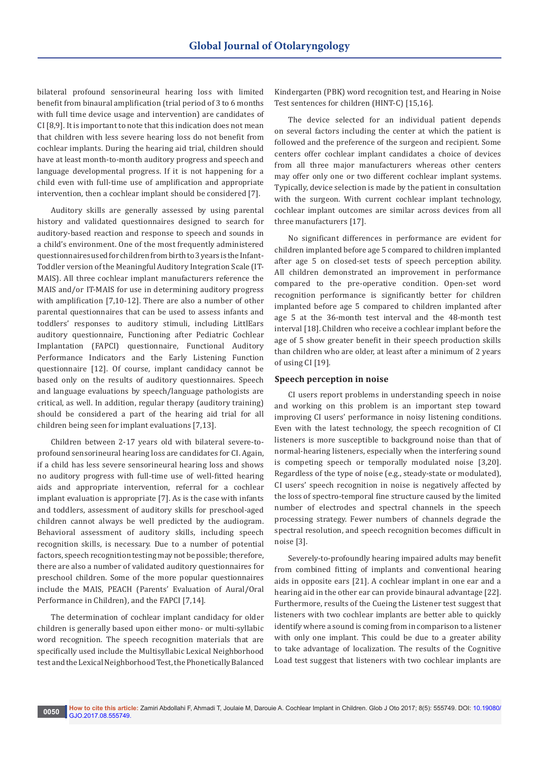bilateral profound sensorineural hearing loss with limited benefit from binaural amplification (trial period of 3 to 6 months with full time device usage and intervention) are candidates of CI [8,9]. It is important to note that this indication does not mean that children with less severe hearing loss do not benefit from cochlear implants. During the hearing aid trial, children should have at least month-to-month auditory progress and speech and language developmental progress. If it is not happening for a child even with full-time use of amplification and appropriate intervention, then a cochlear implant should be considered [7].

Auditory skills are generally assessed by using parental history and validated questionnaires designed to search for auditory-based reaction and response to speech and sounds in a child's environment. One of the most frequently administered questionnaires used for children from birth to 3 years is the Infant-Toddler version of the Meaningful Auditory Integration Scale (IT-MAIS). All three cochlear implant manufacturers reference the MAIS and/or IT-MAIS for use in determining auditory progress with amplification [7,10-12]. There are also a number of other parental questionnaires that can be used to assess infants and toddlers' responses to auditory stimuli, including LittlEars auditory questionnaire, Functioning after Pediatric Cochlear Implantation (FAPCI) questionnaire, Functional Auditory Performance Indicators and the Early Listening Function questionnaire [12]. Of course, implant candidacy cannot be based only on the results of auditory questionnaires. Speech and language evaluations by speech/language pathologists are critical, as well. In addition, regular therapy (auditory training) should be considered a part of the hearing aid trial for all children being seen for implant evaluations [7,13].

Children between 2-17 years old with bilateral severe-toprofound sensorineural hearing loss are candidates for CI. Again, if a child has less severe sensorineural hearing loss and shows no auditory progress with full-time use of well-fitted hearing aids and appropriate intervention, referral for a cochlear implant evaluation is appropriate [7]. As is the case with infants and toddlers, assessment of auditory skills for preschool-aged children cannot always be well predicted by the audiogram. Behavioral assessment of auditory skills, including speech recognition skills, is necessary. Due to a number of potential factors, speech recognition testing may not be possible; therefore, there are also a number of validated auditory questionnaires for preschool children. Some of the more popular questionnaires include the MAIS, PEACH (Parents' Evaluation of Aural/Oral Performance in Children), and the FAPCI [7,14].

The determination of cochlear implant candidacy for older children is generally based upon either mono- or multi-syllabic word recognition. The speech recognition materials that are specifically used include the Multisyllabic Lexical Neighborhood test and the Lexical Neighborhood Test, the Phonetically Balanced

Kindergarten (PBK) word recognition test, and Hearing in Noise Test sentences for children (HINT-C) [15,16].

The device selected for an individual patient depends on several factors including the center at which the patient is followed and the preference of the surgeon and recipient. Some centers offer cochlear implant candidates a choice of devices from all three major manufacturers whereas other centers may offer only one or two different cochlear implant systems. Typically, device selection is made by the patient in consultation with the surgeon. With current cochlear implant technology, cochlear implant outcomes are similar across devices from all three manufacturers [17].

No significant differences in performance are evident for children implanted before age 5 compared to children implanted after age 5 on closed-set tests of speech perception ability. All children demonstrated an improvement in performance compared to the pre-operative condition. Open-set word recognition performance is significantly better for children implanted before age 5 compared to children implanted after age 5 at the 36-month test interval and the 48-month test interval [18]. Children who receive a cochlear implant before the age of 5 show greater benefit in their speech production skills than children who are older, at least after a minimum of 2 years of using CI [19].

#### **Speech perception in noise**

CI users report problems in understanding speech in noise and working on this problem is an important step toward improving CI users' performance in noisy listening conditions. Even with the latest technology, the speech recognition of CI listeners is more susceptible to background noise than that of normal-hearing listeners, especially when the interfering sound is competing speech or temporally modulated noise [3,20]. Regardless of the type of noise (e.g., steady-state or modulated), CI users' speech recognition in noise is negatively affected by the loss of spectro-temporal fine structure caused by the limited number of electrodes and spectral channels in the speech processing strategy. Fewer numbers of channels degrade the spectral resolution, and speech recognition becomes difficult in noise [3].

Severely-to-profoundly hearing impaired adults may benefit from combined fitting of implants and conventional hearing aids in opposite ears [21]. A cochlear implant in one ear and a hearing aid in the other ear can provide binaural advantage [22]. Furthermore, results of the Cueing the Listener test suggest that listeners with two cochlear implants are better able to quickly identify where a sound is coming from in comparison to a listener with only one implant. This could be due to a greater ability to take advantage of localization. The results of the Cognitive Load test suggest that listeners with two cochlear implants are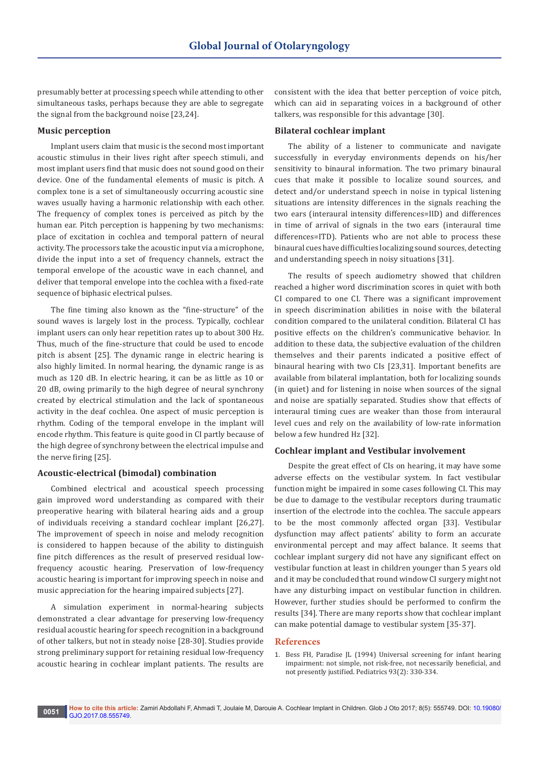presumably better at processing speech while attending to other simultaneous tasks, perhaps because they are able to segregate the signal from the background noise [23,24].

#### **Music perception**

Implant users claim that music is the second most important acoustic stimulus in their lives right after speech stimuli, and most implant users find that music does not sound good on their device. One of the fundamental elements of music is pitch. A complex tone is a set of simultaneously occurring acoustic sine waves usually having a harmonic relationship with each other. The frequency of complex tones is perceived as pitch by the human ear. Pitch perception is happening by two mechanisms: place of excitation in cochlea and temporal pattern of neural activity. The processors take the acoustic input via a microphone, divide the input into a set of frequency channels, extract the temporal envelope of the acoustic wave in each channel, and deliver that temporal envelope into the cochlea with a fixed-rate sequence of biphasic electrical pulses.

The fine timing also known as the "fine-structure" of the sound waves is largely lost in the process. Typically, cochlear implant users can only hear repetition rates up to about 300 Hz. Thus, much of the fine-structure that could be used to encode pitch is absent [25]. The dynamic range in electric hearing is also highly limited. In normal hearing, the dynamic range is as much as 120 dB. In electric hearing, it can be as little as 10 or 20 dB, owing primarily to the high degree of neural synchrony created by electrical stimulation and the lack of spontaneous activity in the deaf cochlea. One aspect of music perception is rhythm. Coding of the temporal envelope in the implant will encode rhythm. This feature is quite good in CI partly because of the high degree of synchrony between the electrical impulse and the nerve firing [25].

## **Acoustic-electrical (bimodal) combination**

Combined electrical and acoustical speech processing gain improved word understanding as compared with their preoperative hearing with bilateral hearing aids and a group of individuals receiving a standard cochlear implant [26,27]. The improvement of speech in noise and melody recognition is considered to happen because of the ability to distinguish fine pitch differences as the result of preserved residual lowfrequency acoustic hearing. Preservation of low-frequency acoustic hearing is important for improving speech in noise and music appreciation for the hearing impaired subjects [27].

A simulation experiment in normal-hearing subjects demonstrated a clear advantage for preserving low-frequency residual acoustic hearing for speech recognition in a background of other talkers, but not in steady noise [28-30]. Studies provide strong preliminary support for retaining residual low-frequency acoustic hearing in cochlear implant patients. The results are

consistent with the idea that better perception of voice pitch, which can aid in separating voices in a background of other talkers, was responsible for this advantage [30].

#### **Bilateral cochlear implant**

The ability of a listener to communicate and navigate successfully in everyday environments depends on his/her sensitivity to binaural information. The two primary binaural cues that make it possible to localize sound sources, and detect and/or understand speech in noise in typical listening situations are intensity differences in the signals reaching the two ears (interaural intensity differences=IID) and differences in time of arrival of signals in the two ears (interaural time differences=ITD). Patients who are not able to process these binaural cues have difficulties localizing sound sources, detecting and understanding speech in noisy situations [31].

The results of speech audiometry showed that children reached a higher word discrimination scores in quiet with both CI compared to one CI. There was a significant improvement in speech discrimination abilities in noise with the bilateral condition compared to the unilateral condition. Bilateral CI has positive effects on the children's communicative behavior. In addition to these data, the subjective evaluation of the children themselves and their parents indicated a positive effect of binaural hearing with two CIs [23,31]. Important benefits are available from bilateral implantation, both for localizing sounds (in quiet) and for listening in noise when sources of the signal and noise are spatially separated. Studies show that effects of interaural timing cues are weaker than those from interaural level cues and rely on the availability of low-rate information below a few hundred Hz [32].

#### **Cochlear implant and Vestibular involvement**

Despite the great effect of CIs on hearing, it may have some adverse effects on the vestibular system. In fact vestibular function might be impaired in some cases following CI. This may be due to damage to the vestibular receptors during traumatic insertion of the electrode into the cochlea. The saccule appears to be the most commonly affected organ [33]. Vestibular dysfunction may affect patients' ability to form an accurate environmental percept and may affect balance. It seems that cochlear implant surgery did not have any significant effect on vestibular function at least in children younger than 5 years old and it may be concluded that round window CI surgery might not have any disturbing impact on vestibular function in children. However, further studies should be performed to confirm the results [34]. There are many reports show that cochlear implant can make potential damage to vestibular system [35-37].

#### **References**

1. [Bess FH, Paradise JL \(1994\) Universal screening for infant hearing](https://www.ncbi.nlm.nih.gov/pubmed/7848392)  [impairment: not simple, not risk-free, not necessarily beneficial, and](https://www.ncbi.nlm.nih.gov/pubmed/7848392)  [not presently justified. Pediatrics 93\(2\): 330-334.](https://www.ncbi.nlm.nih.gov/pubmed/7848392)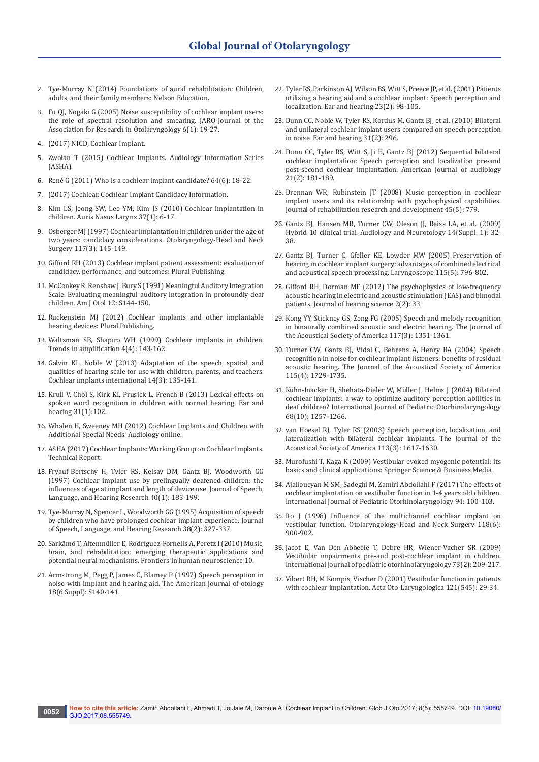- 2. [Tye-Murray N \(2014\) Foundations of aural rehabilitation: Children,](http://www.cengage.com/c/foundations-of-aural-rehabilitation-children-adults-and-their-family-members-4e-tye-murray)  [adults, and their family members: Nelson Education.](http://www.cengage.com/c/foundations-of-aural-rehabilitation-children-adults-and-their-family-members-4e-tye-murray)
- 3. [Fu QJ, Nogaki G \(2005\) Noise susceptibility of cochlear implant users:](https://www.ncbi.nlm.nih.gov/pmc/articles/PMC2504636/)  [the role of spectral resolution and smearing. JARO-Journal of the](https://www.ncbi.nlm.nih.gov/pmc/articles/PMC2504636/)  [Association for Research in Otolaryngology 6\(1\): 19-27.](https://www.ncbi.nlm.nih.gov/pmc/articles/PMC2504636/)
- 4. [\(2017\) NICD, Cochlear Implant.](https://www.nidcd.nih.gov/health/cochlear-implants)
- 5. Zwolan T [\(2015\) Cochlear Implants. Audiology Information Series](http://www.asha.org/public/hearing/Cochlear-Implant/)  [\(ASHA\).](http://www.asha.org/public/hearing/Cochlear-Implant/)
- 6. René G [\(2011\) Who is a cochlear implant candidate? 64\(6\): 18-22.](http://journals.lww.com/thehearingjournal/Fulltext/2011/06000/Who_is_a_cochlear_implant_candidate_.7.aspx)
- 7. [\(2017\) Cochlear. Cochlear Implant Candidacy Information.](http://www.cochlear.com/wps/wcm/connect/us/for-professionals/products/cochlear-implants/candidacy)
- 8. [Kim LS, Jeong SW, Lee YM, Kim JS \(2010\) Cochlear implantation in](https://www.audiology.org/publications-resources/document-library/cochlear-implants-children)  [children. Auris Nasus Larynx 37\(1\): 6-17.](https://www.audiology.org/publications-resources/document-library/cochlear-implants-children)
- 9. [Osberger MJ \(1997\) Cochlear implantation in children under the age of](https://www.ncbi.nlm.nih.gov/pubmed/9334757)  [two years: candidacy considerations. Otolaryngology-Head and Neck](https://www.ncbi.nlm.nih.gov/pubmed/9334757)  [Surgery 117\(3\): 145-149.](https://www.ncbi.nlm.nih.gov/pubmed/9334757)
- 10. [Gifford RH \(2013\) Cochlear implant patient assessment: evaluation of](https://www.researchgate.net/publication/256489240_Cochlear_Implant_Patient_Assessment_Evaluation_of_Candidacy_Performance_and_Outcomes)  [candidacy, performance, and outcomes: Plural Publishing.](https://www.researchgate.net/publication/256489240_Cochlear_Implant_Patient_Assessment_Evaluation_of_Candidacy_Performance_and_Outcomes)
- 11. [McConkey R, Renshaw J, Bury S \(1991\) Meaningful Auditory Integration](https://www.researchgate.net/publication/21087205_Meaningful_Auditory_Integration_Scale_Evaluating_meaningful_auditory_integration_in_profoundly_deaf_children)  [Scale. Evaluating meaningful auditory integration in profoundly deaf](https://www.researchgate.net/publication/21087205_Meaningful_Auditory_Integration_Scale_Evaluating_meaningful_auditory_integration_in_profoundly_deaf_children)  [children. Am J Otol 12: S144-150.](https://www.researchgate.net/publication/21087205_Meaningful_Auditory_Integration_Scale_Evaluating_meaningful_auditory_integration_in_profoundly_deaf_children)
- 12. [Ruckenstein MJ \(2012\) Cochlear implants and other implantable](https://www.pluralpublishing.com/publication_ciihd.htm)  [hearing devices: Plural Publishing.](https://www.pluralpublishing.com/publication_ciihd.htm)
- 13. [Waltzman SB, Shapiro WH \(1999\) Cochlear implants in children.](https://www.ncbi.nlm.nih.gov/pmc/articles/PMC4172230/)  [Trends in amplification 4\(4\): 143-162.](https://www.ncbi.nlm.nih.gov/pmc/articles/PMC4172230/)
- 14. [Galvin KL, Noble W \(2013\) Adaptation of the speech, spatial, and](https://www.ncbi.nlm.nih.gov/pubmed/23394704)  [qualities of hearing scale for use with children, parents, and teachers.](https://www.ncbi.nlm.nih.gov/pubmed/23394704)  [Cochlear implants international 14\(3\): 135-141.](https://www.ncbi.nlm.nih.gov/pubmed/23394704)
- 15. [Krull V, Choi S, Kirk KI, Prusick L, French B \(2013\) Lexical effects on](https://www.ncbi.nlm.nih.gov/pubmed/19701087)  [spoken word recognition in children with normal hearing. Ear and](https://www.ncbi.nlm.nih.gov/pubmed/19701087)  [hearing 31\(1\):102.](https://www.ncbi.nlm.nih.gov/pubmed/19701087)
- 16. [Whalen H, Sweeney MH \(2012\) Cochlear Implants and Children with](http://www.audiologyonline.com/articles/cochlear-implants-and-children-with-11344)  [Additional Special Needs. Audiology online.](http://www.audiologyonline.com/articles/cochlear-implants-and-children-with-11344)
- 17. [ASHA \(2017\) Cochlear Implants: Working Group on Cochlear Implants.](http://www.asha.org/policy/TR2004-00041/)  [Technical Report.](http://www.asha.org/policy/TR2004-00041/)
- 18. [Fryauf-Bertschy H, Tyler RS, Kelsay DM, Gantz BJ, Woodworth GG](https://www.ncbi.nlm.nih.gov/pubmed/9113869)  [\(1997\) Cochlear implant use by prelingually deafened children: the](https://www.ncbi.nlm.nih.gov/pubmed/9113869)  [influences of age at implant and length of device use. Journal of Speech,](https://www.ncbi.nlm.nih.gov/pubmed/9113869)  [Language, and Hearing Research 40\(1\): 183-199.](https://www.ncbi.nlm.nih.gov/pubmed/9113869)
- 19. [Tye-Murray N, Spencer L, Woodworth GG \(1995\) Acquisition of speech](https://www.ncbi.nlm.nih.gov/pubmed/7596098)  [by children who have prolonged cochlear implant experience. Journal](https://www.ncbi.nlm.nih.gov/pubmed/7596098)  [of Speech, Language, and Hearing Research 38\(2\): 327-337.](https://www.ncbi.nlm.nih.gov/pubmed/7596098)
- 20. [Särkämö T, Altenmüller E, Rodríguez-Fornells A, Peretz I \(2010\) Music,](https://www.ncbi.nlm.nih.gov/pubmed/27014034)  [brain, and rehabilitation: emerging therapeutic applications and](https://www.ncbi.nlm.nih.gov/pubmed/27014034)  [potential neural mechanisms. Frontiers in human neuroscience 10.](https://www.ncbi.nlm.nih.gov/pubmed/27014034)
- 21. [Armstrong M, Pegg P, James C, Blamey P \(1997\) Speech perception in](https://www.ncbi.nlm.nih.gov/pubmed/9391635)  [noise with implant and hearing aid. The American journal of otology](https://www.ncbi.nlm.nih.gov/pubmed/9391635)  [18\(6 Suppl\): S140-141.](https://www.ncbi.nlm.nih.gov/pubmed/9391635)
- 22. [Tyler RS, Parkinson AJ, Wilson BS, Witt S, Preece JP, et al. \(2001\) Patients](https://www.ncbi.nlm.nih.gov/pubmed/11951854)  [utilizing a hearing aid and a cochlear implant: Speech perception and](https://www.ncbi.nlm.nih.gov/pubmed/11951854)  [localization. Ear and hearing 23\(2\): 98-105.](https://www.ncbi.nlm.nih.gov/pubmed/11951854)
- 23. [Dunn CC, Noble W, Tyler RS, Kordus M, Gantz BJ, et al. \(2010\) Bilateral](https://www.ncbi.nlm.nih.gov/pubmed/19858720)  [and unilateral cochlear implant users compared on speech perception](https://www.ncbi.nlm.nih.gov/pubmed/19858720)  [in noise. Ear and hearing 31\(2\): 296.](https://www.ncbi.nlm.nih.gov/pubmed/19858720)
- 24. [Dunn CC, Tyler RS, Witt S, Ji H, Gantz BJ \(2012\) Sequential bilateral](https://www.ncbi.nlm.nih.gov/pubmed/22846635)  [cochlear implantation: Speech perception and localization pre-and](https://www.ncbi.nlm.nih.gov/pubmed/22846635)  [post-second cochlear implantation. American journal of audiology](https://www.ncbi.nlm.nih.gov/pubmed/22846635)  [21\(2\): 181-189.](https://www.ncbi.nlm.nih.gov/pubmed/22846635)
- 25. [Drennan WR, Rubinstein JT \(2008\) Music perception in cochlear](https://www.ncbi.nlm.nih.gov/pubmed/22846635)  [implant users and its relationship with psychophysical capabilities.](https://www.ncbi.nlm.nih.gov/pubmed/22846635)  [Journal of rehabilitation research and development 45\(5\): 779.](https://www.ncbi.nlm.nih.gov/pubmed/22846635)
- 26. [Gantz BJ, Hansen MR, Turner CW, Oleson JJ, Reiss LA, et al. \(2009\)](https://www.ncbi.nlm.nih.gov/pubmed/19390173)  [Hybrid 10 clinical trial. Audiology and Neurotology 14\(Suppl. 1\): 32-](https://www.ncbi.nlm.nih.gov/pubmed/19390173) [38.](https://www.ncbi.nlm.nih.gov/pubmed/19390173)
- 27. [Gantz BJ, Turner C, Gfeller KE, Lowder MW \(2005\) Preservation of](https://www.ncbi.nlm.nih.gov/pubmed/15867642)  [hearing in cochlear implant surgery: advantages of combined electrical](https://www.ncbi.nlm.nih.gov/pubmed/15867642)  [and acoustical speech processing. Laryngoscope 115\(5\): 796-802.](https://www.ncbi.nlm.nih.gov/pubmed/15867642)
- 28. [Gifford RH, Dorman MF \(2012\) The psychophysics of low-frequency](https://www.ncbi.nlm.nih.gov/pubmed/24244874)  [acoustic hearing in electric and acoustic stimulation \(EAS\) and bimodal](https://www.ncbi.nlm.nih.gov/pubmed/24244874)  [patients. Journal of hearing science 2\(2\): 33.](https://www.ncbi.nlm.nih.gov/pubmed/24244874)
- 29. [Kong YY, Stickney GS, Zeng FG \(2005\) Speech and melody recognition](https://www.ncbi.nlm.nih.gov/pubmed/15807023)  [in binaurally combined acoustic and electric hearing. The Journal of](https://www.ncbi.nlm.nih.gov/pubmed/15807023)  [the Acoustical Society of America 117\(3\): 1351-1361.](https://www.ncbi.nlm.nih.gov/pubmed/15807023)
- 30. [Turner CW, Gantz BJ, Vidal C, Behrens A, Henry BA \(2004\) Speech](https://www.ncbi.nlm.nih.gov/pubmed/15101651)  [recognition in noise for cochlear implant listeners: benefits of residual](https://www.ncbi.nlm.nih.gov/pubmed/15101651)  [acoustic hearing. The Journal of the Acoustical Society of America](https://www.ncbi.nlm.nih.gov/pubmed/15101651)  [115\(4\): 1729-1735.](https://www.ncbi.nlm.nih.gov/pubmed/15101651)
- 31. [Kühn-Inacker H, Shehata-Dieler W, Müller J, Helms J \(2004\) Bilateral](https://www.ncbi.nlm.nih.gov/pubmed/15364496)  [cochlear implants: a way to optimize auditory perception abilities in](https://www.ncbi.nlm.nih.gov/pubmed/15364496)  [deaf children? International Journal of Pediatric Otorhinolaryngology](https://www.ncbi.nlm.nih.gov/pubmed/15364496)  [68\(10\): 1257-1266.](https://www.ncbi.nlm.nih.gov/pubmed/15364496)
- 32. [van Hoesel RJ, Tyler RS \(2003\) Speech perception, localization, and](https://www.ncbi.nlm.nih.gov/pubmed/12656396)  [lateralization with bilateral cochlear implants. The Journal of the](https://www.ncbi.nlm.nih.gov/pubmed/12656396)  [Acoustical Society of America 113\(3\): 1617-1630.](https://www.ncbi.nlm.nih.gov/pubmed/12656396)
- 33. [Murofushi T, Kaga K \(2009\) Vestibular evoked myogenic potential: its](http://www.springer.com/in/book/9784431859079)  [basics and clinical applications: Springer Science & Business Media.](http://www.springer.com/in/book/9784431859079)
- 34. [Ajalloueyan M SM, Sadeghi M, Zamiri Abdollahi F \(2017\) The effects of](https://www.ncbi.nlm.nih.gov/pubmed/28166997)  [cochlear implantation on vestibular function in 1-4 years old children.](https://www.ncbi.nlm.nih.gov/pubmed/28166997)  [International Journal of Pediatric Otorhinolaryngology 94: 100-103.](https://www.ncbi.nlm.nih.gov/pubmed/28166997)
- 35. [Ito J \(1998\) Influence of the multichannel cochlear implant on](https://www.ncbi.nlm.nih.gov/pubmed/9627263)  [vestibular function. Otolaryngology-Head and Neck Surgery 118\(6\):](https://www.ncbi.nlm.nih.gov/pubmed/9627263)  [900-902.](https://www.ncbi.nlm.nih.gov/pubmed/9627263)
- 36. [Jacot E, Van Den Abbeele T, Debre HR, Wiener-Vacher SR \(2009\)](https://www.ncbi.nlm.nih.gov/pubmed/19101044)  [Vestibular impairments pre-and post-cochlear implant in children.](https://www.ncbi.nlm.nih.gov/pubmed/19101044)  [International journal of pediatric otorhinolaryngology 73\(2\): 209-217.](https://www.ncbi.nlm.nih.gov/pubmed/19101044)
- 37. [Vibert RH, M Kompis, Vischer D \(2001\) Vestibular function in patients](https://www.ncbi.nlm.nih.gov/pubmed/11677737)  [with cochlear implantation. Acta Oto-Laryngologica 121\(545\): 29-34.](https://www.ncbi.nlm.nih.gov/pubmed/11677737)